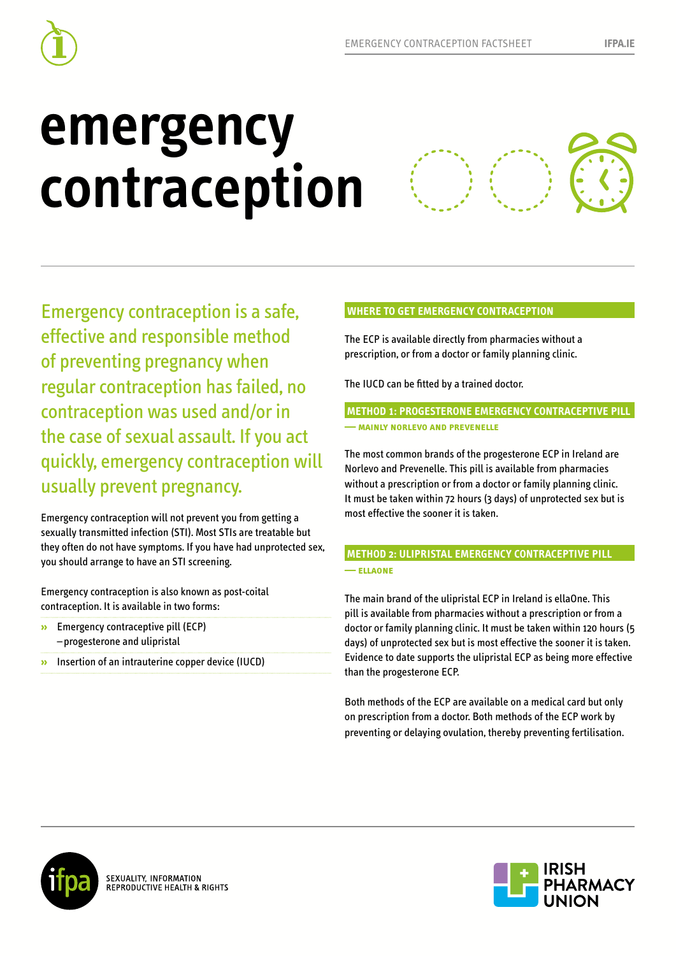

# **emergency contraception**



Emergency contraception is a safe, effective and responsible method of preventing pregnancy when regular contraception has failed, no contraception was used and/or in the case of sexual assault. If you act quickly, emergency contraception will usually prevent pregnancy.

Emergency contraception will not prevent you from getting a sexually transmitted infection (STI). Most STIs are treatable but they often do not have symptoms. If you have had unprotected sex, you should arrange to have an STI screening.

Emergency contraception is also known as post-coital contraception. It is available in two forms:

- **»** Emergency contraceptive pill (ECP) – progesterone and ulipristal
- **»** Insertion of an intrauterine copper device (IUCD)

## **WHERE TO GET EMERGENCY CONTRACEPTION**

The ECP is available directly from pharmacies without a prescription, or from a doctor or family planning clinic.

The IUCD can be fitted by a trained doctor.

## **METHOD 1: PROGESTERONE EMERGENCY CONTRACEPTIVE PILL — mainly norlevo and prevenelle**

The most common brands of the progesterone ECP in Ireland are Norlevo and Prevenelle. This pill is available from pharmacies without a prescription or from a doctor or family planning clinic. It must be taken within 72 hours (3 days) of unprotected sex but is most effective the sooner it is taken.

## **METHOD 2: ULIPRISTAL EMERGENCY CONTRACEPTIVE PILL — ellaone**

The main brand of the ulipristal ECP in Ireland is ellaOne. This pill is available from pharmacies without a prescription or from a doctor or family planning clinic. It must be taken within 120 hours (5 days) of unprotected sex but is most effective the sooner it is taken. Evidence to date supports the ulipristal ECP as being more effective than the progesterone ECP.

Both methods of the ECP are available on a medical card but only on prescription from a doctor. Both methods of the ECP work by preventing or delaying ovulation, thereby preventing fertilisation.